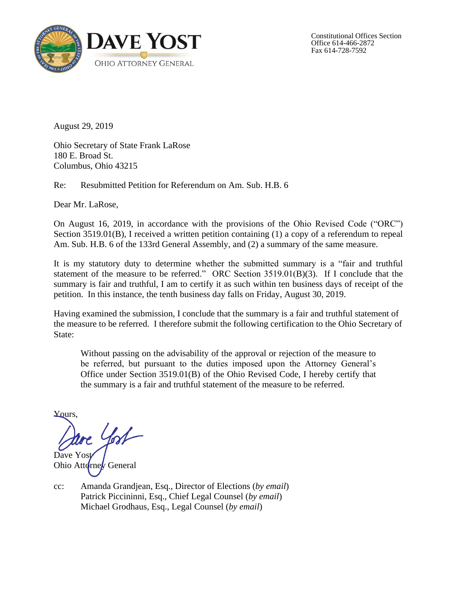

Constitutional Offices Section Office 614-466-2872 Fax 614-728-7592

August 29, 2019

Ohio Secretary of State Frank LaRose 180 E. Broad St. Columbus, Ohio 43215

Re: Resubmitted Petition for Referendum on Am. Sub. H.B. 6

Dear Mr. LaRose,

On August 16, 2019, in accordance with the provisions of the Ohio Revised Code ("ORC") Section 3519.01(B), I received a written petition containing (1) a copy of a referendum to repeal Am. Sub. H.B. 6 of the 133rd General Assembly, and (2) a summary of the same measure.

It is my statutory duty to determine whether the submitted summary is a "fair and truthful statement of the measure to be referred." ORC Section 3519.01(B)(3). If I conclude that the summary is fair and truthful, I am to certify it as such within ten business days of receipt of the petition. In this instance, the tenth business day falls on Friday, August 30, 2019.

Having examined the submission, I conclude that the summary is a fair and truthful statement of the measure to be referred. I therefore submit the following certification to the Ohio Secretary of State:

Without passing on the advisability of the approval or rejection of the measure to be referred, but pursuant to the duties imposed upon the Attorney General's Office under Section 3519.01(B) of the Ohio Revised Code, I hereby certify that the summary is a fair and truthful statement of the measure to be referred.

Yours,

Dave Yost Ohio Attorney General

cc: Amanda Grandjean, Esq., Director of Elections (*by email*) Patrick Piccininni, Esq., Chief Legal Counsel (*by email*) Michael Grodhaus, Esq., Legal Counsel (*by email*)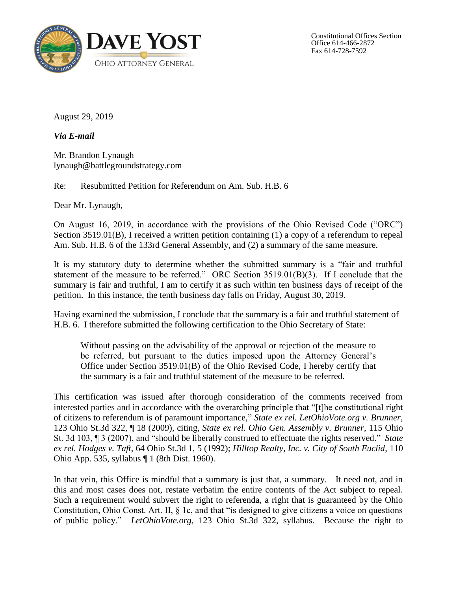

Constitutional Offices Section Office 614-466-2872 Fax 614-728-7592

August 29, 2019

*Via E-mail*

Mr. Brandon Lynaugh lynaugh@battlegroundstrategy.com

Re: Resubmitted Petition for Referendum on Am. Sub. H.B. 6

Dear Mr. Lynaugh,

On August 16, 2019, in accordance with the provisions of the Ohio Revised Code ("ORC") Section 3519.01(B), I received a written petition containing (1) a copy of a referendum to repeal Am. Sub. H.B. 6 of the 133rd General Assembly, and (2) a summary of the same measure.

It is my statutory duty to determine whether the submitted summary is a "fair and truthful statement of the measure to be referred." ORC Section 3519.01(B)(3). If I conclude that the summary is fair and truthful, I am to certify it as such within ten business days of receipt of the petition. In this instance, the tenth business day falls on Friday, August 30, 2019.

Having examined the submission, I conclude that the summary is a fair and truthful statement of H.B. 6. I therefore submitted the following certification to the Ohio Secretary of State:

Without passing on the advisability of the approval or rejection of the measure to be referred, but pursuant to the duties imposed upon the Attorney General's Office under Section 3519.01(B) of the Ohio Revised Code, I hereby certify that the summary is a fair and truthful statement of the measure to be referred.

This certification was issued after thorough consideration of the comments received from interested parties and in accordance with the overarching principle that "[t]he constitutional right of citizens to referendum is of paramount importance," *State ex rel. LetOhioVote.org v. Brunner*, 123 Ohio St.3d 322, ¶ 18 (2009), citing, *State ex rel. Ohio Gen. Assembly v. Brunner*, 115 Ohio St. 3d 103, ¶ 3 (2007), and "should be liberally construed to effectuate the rights reserved." *State ex rel. Hodges v. Taft*, 64 Ohio St.3d 1, 5 (1992); *Hilltop Realty, Inc. v. City of South Euclid*, 110 Ohio App. 535, syllabus ¶ 1 (8th Dist. 1960).

In that vein, this Office is mindful that a summary is just that, a summary. It need not, and in this and most cases does not, restate verbatim the entire contents of the Act subject to repeal. Such a requirement would subvert the right to referenda, a right that is guaranteed by the Ohio Constitution, Ohio Const. Art. II, § 1c, and that "is designed to give citizens a voice on questions of public policy." *LetOhioVote.org*, 123 Ohio St.3d 322, syllabus. Because the right to